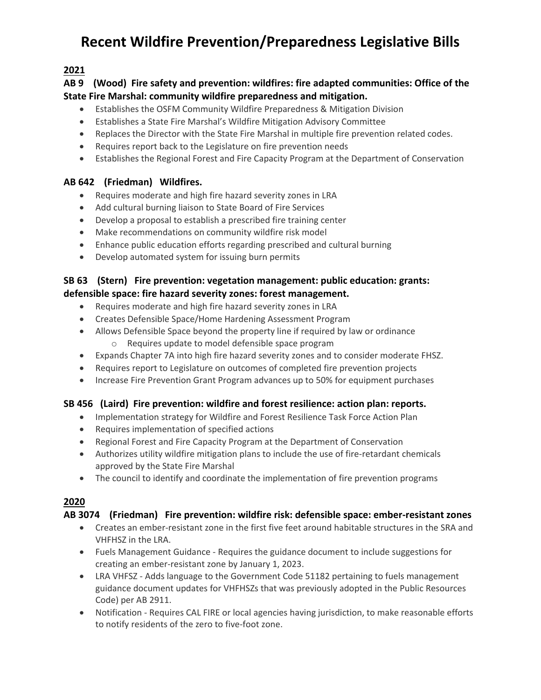# **Recent Wildfire Prevention/Preparedness Legislative Bills**

# **2021**

### **AB 9 (Wood) Fire safety and prevention: wildfires: fire adapted communities: Office of the State Fire Marshal: community wildfire preparedness and mitigation.**

- Establishes the OSFM Community Wildfire Preparedness & Mitigation Division
- Establishes a State Fire Marshal's Wildfire Mitigation Advisory Committee
- Replaces the Director with the State Fire Marshal in multiple fire prevention related codes.
- Requires report back to the Legislature on fire prevention needs
- Establishes the Regional Forest and Fire Capacity Program at the Department of Conservation

### **AB 642 (Friedman) Wildfires.**

- Requires moderate and high fire hazard severity zones in LRA
- Add cultural burning liaison to State Board of Fire Services
- Develop a proposal to establish a prescribed fire training center
- Make recommendations on community wildfire risk model
- Enhance public education efforts regarding prescribed and cultural burning
- Develop automated system for issuing burn permits

# **SB 63 (Stern) Fire prevention: vegetation management: public education: grants: defensible space: fire hazard severity zones: forest management.**

- Requires moderate and high fire hazard severity zones in LRA
- Creates Defensible Space/Home Hardening Assessment Program
- Allows Defensible Space beyond the property line if required by law or ordinance o Requires update to model defensible space program
- Expands Chapter 7A into high fire hazard severity zones and to consider moderate FHSZ.
- Requires report to Legislature on outcomes of completed fire prevention projects
- Increase Fire Prevention Grant Program advances up to 50% for equipment purchases

#### **[SB 4](https://gcc02.safelinks.protection.outlook.com/?url=http%3A%2F%2Fctweb.capitoltrack.com%2Fpublic%2Fpublishbillinfo.aspx%3Fbi%3DVoBJMqgIzDvJ8KJGOf50s5cynYmZ%252bb702A8p4HFtIsXs%252fpAbRdSuYb7KF1Ouxs77&data=04%7C01%7CSteven.Hawks%40fire.ca.gov%7C056e6aa28a974db7bac408d8d9b28034%7C447a4ca05405454dad68c98a520261f8%7C1%7C0%7C637498707973347287%7CUnknown%7CTWFpbGZsb3d8eyJWIjoiMC4wLjAwMDAiLCJQIjoiV2luMzIiLCJBTiI6Ik1haWwiLCJXVCI6Mn0%3D%7C1000&sdata=vrOt3d8cPoBU4N%2FjTAOCOQIplkifDi%2BeSjGU82uPB3E%3D&reserved=0)56 (Laird) Fire prevention: wildfire and forest resilience: action plan: reports.**

- Implementation strategy for Wildfire and Forest Resilience Task Force Action Plan
- Requires implementation of specified actions
- Regional Forest and Fire Capacity Program at the Department of Conservation
- Authorizes utility wildfire mitigation plans to include the use of fire-retardant chemicals approved by the State Fire Marshal
- The council to identify and coordinate the implementation of fire prevention programs

# **2020**

# **AB 3074 (Friedman) Fire prevention: wildfire risk: defensible space: ember-resistant zones**

- Creates an ember-resistant zone in the first five feet around habitable structures in the SRA and VHFHSZ in the LRA.
- Fuels Management Guidance Requires the guidance document to include suggestions for creating an ember-resistant zone by January 1, 2023.
- LRA VHFSZ Adds language to the Government Code 51182 pertaining to fuels management guidance document updates for VHFHSZs that was previously adopted in the Public Resources Code) per AB 2911.
- Notification Requires CAL FIRE or local agencies having jurisdiction, to make reasonable efforts to notify residents of the zero to five-foot zone.